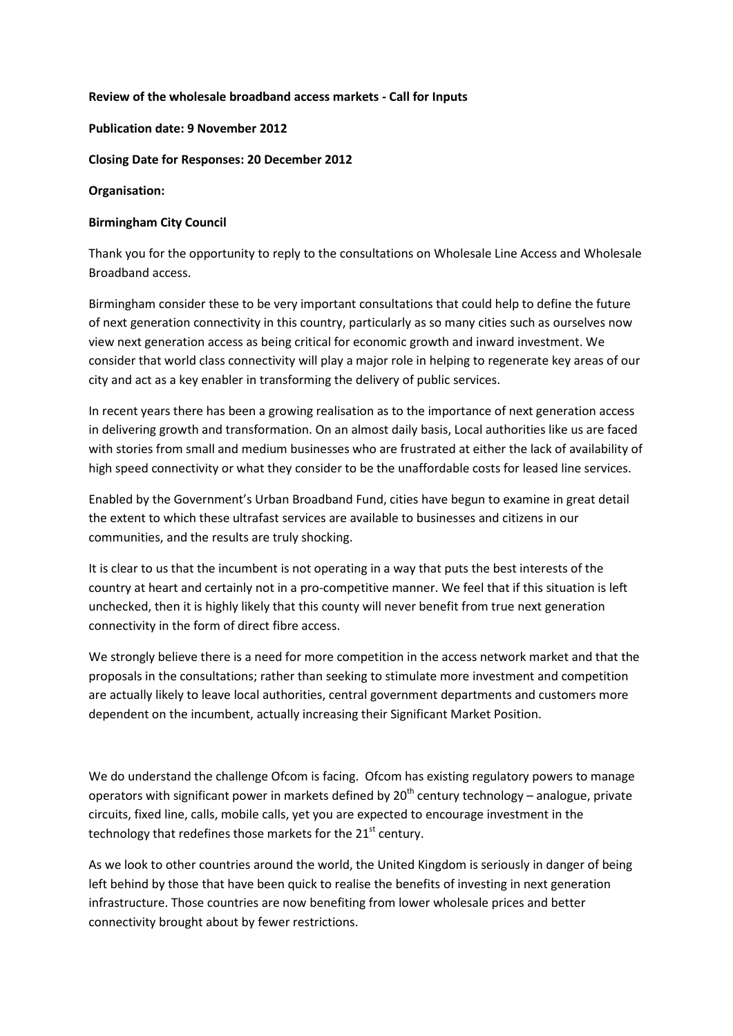# **Review of the wholesale broadband access markets - Call for Inputs**

## **Publication date: 9 November 2012**

# **Closing Date for Responses: 20 December 2012**

### **Organisation:**

### **Birmingham City Council**

Thank you for the opportunity to reply to the consultations on Wholesale Line Access and Wholesale Broadband access.

Birmingham consider these to be very important consultations that could help to define the future of next generation connectivity in this country, particularly as so many cities such as ourselves now view next generation access as being critical for economic growth and inward investment. We consider that world class connectivity will play a major role in helping to regenerate key areas of our city and act as a key enabler in transforming the delivery of public services.

In recent years there has been a growing realisation as to the importance of next generation access in delivering growth and transformation. On an almost daily basis, Local authorities like us are faced with stories from small and medium businesses who are frustrated at either the lack of availability of high speed connectivity or what they consider to be the unaffordable costs for leased line services.

Enabled by the Government's Urban Broadband Fund, cities have begun to examine in great detail the extent to which these ultrafast services are available to businesses and citizens in our communities, and the results are truly shocking.

It is clear to us that the incumbent is not operating in a way that puts the best interests of the country at heart and certainly not in a pro-competitive manner. We feel that if this situation is left unchecked, then it is highly likely that this county will never benefit from true next generation connectivity in the form of direct fibre access.

We strongly believe there is a need for more competition in the access network market and that the proposals in the consultations; rather than seeking to stimulate more investment and competition are actually likely to leave local authorities, central government departments and customers more dependent on the incumbent, actually increasing their Significant Market Position.

We do understand the challenge Ofcom is facing. Ofcom has existing regulatory powers to manage operators with significant power in markets defined by  $20<sup>th</sup>$  century technology – analogue, private circuits, fixed line, calls, mobile calls, yet you are expected to encourage investment in the technology that redefines those markets for the  $21<sup>st</sup>$  century.

As we look to other countries around the world, the United Kingdom is seriously in danger of being left behind by those that have been quick to realise the benefits of investing in next generation infrastructure. Those countries are now benefiting from lower wholesale prices and better connectivity brought about by fewer restrictions.